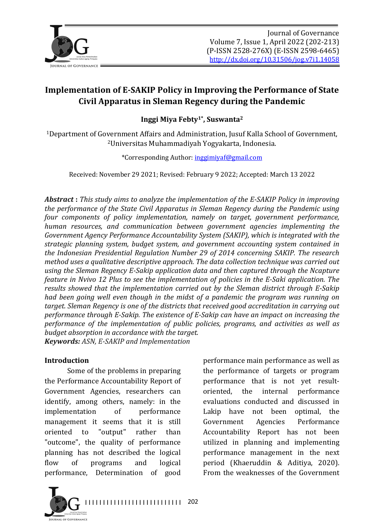

**Inggi Miya Febty1\*, Suswanta2**

<sup>1</sup>Department of Government Affairs and Administration, Jusuf Kalla School of Government, <sup>2</sup>Universitas Muhammadiyah Yogyakarta, Indonesia.

\*Corresponding Author: inggimiyaf@gmail.com

Received: November 29 2021; Revised: February 9 2022; Accepted: March 13 2022

**Abstract**: This study aims to analyze the implementation of the E-SAKIP Policy in improving *the performance of the State Civil Apparatus in Sleman Regency during the Pandemic using four* components of policy implementation, namely on target, government performance, *human resources, and communication between government agencies implementing the* Government Agency Performance Accountability System (SAKIP), which is integrated with the *strategic planning system, budget system, and government accounting system contained in the Indonesian Presidential Regulation Number 29 of 2014 concerning SAKIP. The research method uses a qualitative descriptive approach. The data collection technique was carried out* using the Sleman Regency E-Sakip application data and then captured through the Ncapture *feature in Nvivo 12 Plus to see the implementation of policies in the E-Saki application. The results showed that the implementation carried out by the Sleman district through E-Sakip had been going well even though in the midst of a pandemic the program was running on target.* Sleman Regency is one of the districts that received good accreditation in carrying out *performance through E-Sakip. The existence of E-Sakip can have an impact on increasing the performance of the implementation of public policies, programs, and activities as well as budget absorption in accordance with the target. Keywords: ASN, E-SAKIP and Implementation*

#### **Introduction**

Some of the problems in preparing the Performance Accountability Report of Government Agencies, researchers can identify, among others, namely: in the implementation of performance management it seems that it is still oriented to "output" rather than "outcome", the quality of performance planning has not described the logical flow of programs and logical performance, Determination of good

performance main performance as well as the performance of targets or program performance that is not yet resultoriented, the internal performance evaluations conducted and discussed in Lakip have not been optimal, the Government Agencies Performance Accountability Report has not been utilized in planning and implementing performance management in the next period (Khaeruddin & Aditiya, 2020). From the weaknesses of the Government

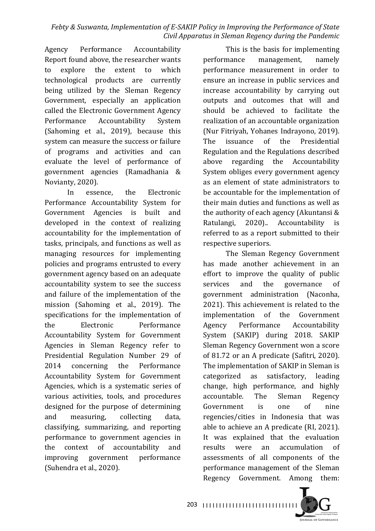Agency Performance Accountability Report found above, the researcher wants to explore the extent to which technological products are currently being utilized by the Sleman Regency Government, especially an application called the Electronic Government Agency Performance Accountability System (Sahoming et al., 2019), because this system can measure the success or failure of programs and activities and can evaluate the level of performance of government agencies (Ramadhania & Novianty, 2020).

In essence, the Electronic Performance Accountability System for Government Agencies is built and developed in the context of realizing accountability for the implementation of tasks, principals, and functions as well as managing resources for implementing policies and programs entrusted to every government agency based on an adequate accountability system to see the success and failure of the implementation of the mission (Sahoming et al., 2019). The specifications for the implementation of the Electronic Performance Accountability System for Government Agencies in Sleman Regency refer to Presidential Regulation Number 29 of 2014 concerning the Performance Accountability System for Government Agencies, which is a systematic series of various activities, tools, and procedures designed for the purpose of determining and measuring, collecting data, classifying, summarizing, and reporting performance to government agencies in the context of accountability and improving government performance (Suhendra et al., 2020).

This is the basis for implementing performance management, namely performance measurement in order to ensure an increase in public services and increase accountability by carrying out outputs and outcomes that will and should be achieved to facilitate the realization of an accountable organization (Nur Fitriyah, Yohanes Indrayono, 2019). The issuance of the Presidential Regulation and the Regulations described above regarding the Accountability System obliges every government agency as an element of state administrators to be accountable for the implementation of their main duties and functions as well as the authority of each agency (Akuntansi  $&$ Ratulangi, 2020).. Accountability is referred to as a report submitted to their respective superiors.

The Sleman Regency Government has made another achievement in an effort to improve the quality of public services and the governance of government administration (Naconha, 2021). This achievement is related to the implementation of the Government Agency Performance Accountability System (SAKIP) during 2018. SAKIP Sleman Regency Government won a score of 81.72 or an A predicate (Safitri, 2020). The implementation of SAKIP in Sleman is categorized as satisfactory, leading change, high performance, and highly accountable. The Sleman Regency Government is one of nine regencies/cities in Indonesia that was able to achieve an A predicate (RI, 2021). It was explained that the evaluation results were an accumulation of assessments of all components of the performance management of the Sleman Regency Government. Among them:



I I I I I I I I I I I I I I I I I I I I I I I I I I I I I 203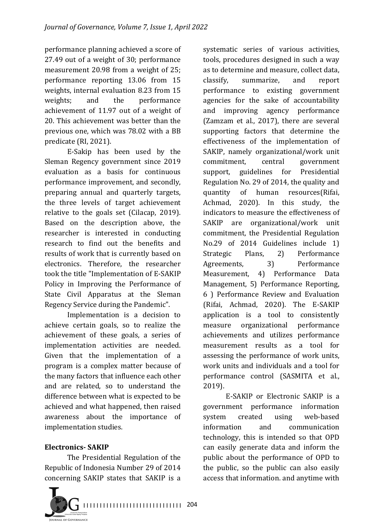performance planning achieved a score of 27.49 out of a weight of 30; performance measurement 20.98 from a weight of 25; performance reporting 13.06 from 15 weights, internal evaluation 8.23 from 15 weights; and the performance achievement of 11.97 out of a weight of 20. This achievement was better than the previous one, which was 78.02 with a BB predicate (RI, 2021).

E-Sakip has been used by the Sleman Regency government since 2019 evaluation as a basis for continuous performance improvement, and secondly, preparing annual and quarterly targets, the three levels of target achievement relative to the goals set (Cilacap, 2019). Based on the description above, the researcher is interested in conducting research to find out the benefits and results of work that is currently based on electronics. Therefore, the researcher took the title "Implementation of E-SAKIP Policy in Improving the Performance of State Civil Apparatus at the Sleman Regency Service during the Pandemic".

Implementation is a decision to achieve certain goals, so to realize the achievement of these goals, a series of implementation activities are needed. Given that the implementation of a program is a complex matter because of the many factors that influence each other and are related, so to understand the difference between what is expected to be achieved and what happened, then raised awareness about the importance of implementation studies.

## **Electronics- SAKIP**

The Presidential Regulation of the Republic of Indonesia Number 29 of 2014 concerning SAKIP states that SAKIP is a



systematic series of various activities, tools, procedures designed in such a way as to determine and measure, collect data, classify, summarize, and report performance to existing government agencies for the sake of accountability and improving agency performance (Zamzam et al., 2017), there are several supporting factors that determine the effectiveness of the implementation of SAKIP, namely organizational/work unit commitment, central government support, guidelines for Presidential Regulation No. 29 of 2014, the quality and quantity of human resources(Rifai, Achmad, 2020). In this study, the indicators to measure the effectiveness of SAKIP are organizational/work unit commitment, the Presidential Regulation No.29 of 2014 Guidelines include 1) Strategic Plans, 2) Performance Agreements, 3) Performance Measurement, 4) Performance Data Management, 5) Performance Reporting, 6 ) Performance Review and Evaluation (Rifai, Achmad, 2020). The E-SAKIP application is a tool to consistently measure organizational performance achievements and utilizes performance measurement results as a tool for assessing the performance of work units, work units and individuals and a tool for performance control (SASMITA et al., 2019).

E-SAKIP or Electronic SAKIP is a government performance information system created using web-based information and communication technology, this is intended so that OPD can easily generate data and inform the public about the performance of OPD to the public, so the public can also easily access that information. and anytime with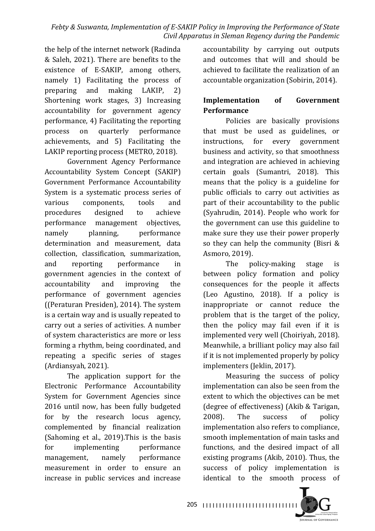the help of the internet network (Radinda & Saleh, 2021). There are benefits to the existence of E-SAKIP, among others, namely 1) Facilitating the process of preparing and making LAKIP, 2) Shortening work stages, 3) Increasing accountability for government agency performance, 4) Facilitating the reporting process on quarterly performance achievements, and 5) Facilitating the LAKIP reporting process (METRO, 2018).

Government Agency Performance Accountability System Concept (SAKIP) Government Performance Accountability System is a systematic process series of various components, tools and procedures designed to achieve performance management objectives, namely planning, performance determination and measurement, data collection, classification, summarization, and reporting performance in government agencies in the context of accountability and improving the performance of government agencies ((Peraturan Presiden), 2014). The system is a certain way and is usually repeated to carry out a series of activities. A number of system characteristics are more or less forming a rhythm, being coordinated, and repeating a specific series of stages (Ardiansyah, 2021).

The application support for the Electronic Performance Accountability System for Government Agencies since 2016 until now, has been fully budgeted for by the research locus agency, complemented by financial realization (Sahoming et al.,  $2019$ ). This is the basis for implementing performance management, namely performance measurement in order to ensure an increase in public services and increase

accountability by carrying out outputs and outcomes that will and should be achieved to facilitate the realization of an accountable organization (Sobirin, 2014).

## **Implementation** of Government **Performance**

Policies are basically provisions that must be used as guidelines, or instructions, for every government business and activity, so that smoothness and integration are achieved in achieving certain goals (Sumantri, 2018). This means that the policy is a guideline for public officials to carry out activities as part of their accountability to the public (Syahrudin, 2014). People who work for the government can use this guideline to make sure they use their power properly so they can help the community (Bisri  $&$ Asmoro, 2019).

The policy-making stage is between policy formation and policy consequences for the people it affects (Leo Agustino, 2018). If a policy is inappropriate or cannot reduce the problem that is the target of the policy, then the policy may fail even if it is implemented very well (Choiriyah, 2018). Meanwhile, a brilliant policy may also fail if it is not implemented properly by policy implementers (Jeklin, 2017).

Measuring the success of policy implementation can also be seen from the extent to which the objectives can be met (degree of effectiveness) (Akib & Tarigan, 2008). The success of policy implementation also refers to compliance, smooth implementation of main tasks and functions, and the desired impact of all existing programs (Akib,  $2010$ ). Thus, the success of policy implementation is identical to the smooth process of



I I I I I I I I I I I I I I I I I I I I I I I I I I I I I 205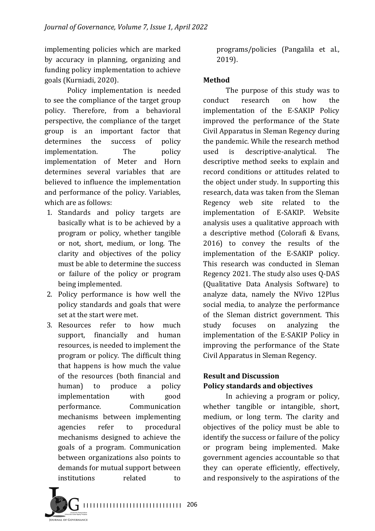implementing policies which are marked by accuracy in planning, organizing and funding policy implementation to achieve goals (Kurniadi, 2020).

Policy implementation is needed to see the compliance of the target group policy. Therefore, from a behavioral perspective, the compliance of the target group is an important factor that determines the success of policy implementation. The policy implementation of Meter and Horn determines several variables that are believed to influence the implementation and performance of the policy. Variables, which are as follows:

- 1. Standards and policy targets are basically what is to be achieved by a program or policy, whether tangible or not, short, medium, or long. The clarity and objectives of the policy must be able to determine the success or failure of the policy or program being implemented.
- 2. Policy performance is how well the policy standards and goals that were set at the start were met.
- 3. Resources refer to how much support, financially and human resources, is needed to implement the program or policy. The difficult thing that happens is how much the value of the resources (both financial and human) to produce a policy implementation with good performance. Communication mechanisms between implementing agencies refer to procedural mechanisms designed to achieve the goals of a program. Communication between organizations also points to demands for mutual support between institutions related to

programs/policies (Pangalila et al., 2019).

## **Method**

The purpose of this study was to conduct research on how the implementation of the E-SAKIP Policy improved the performance of the State Civil Apparatus in Sleman Regency during the pandemic. While the research method used is descriptive-analytical. The descriptive method seeks to explain and record conditions or attitudes related to the object under study. In supporting this research, data was taken from the Sleman Regency web site related to the implementation of E-SAKIP. Website analysis uses a qualitative approach with a descriptive method (Colorafi & Evans, 2016) to convey the results of the implementation of the E-SAKIP policy. This research was conducted in Sleman Regency 2021. The study also uses O-DAS (Qualitative Data Analysis Software) to analyze data, namely the NVivo 12Plus social media, to analyze the performance of the Sleman district government. This study focuses on analyzing the implementation of the E-SAKIP Policy in improving the performance of the State Civil Apparatus in Sleman Regency.

## **Result and Discussion Policy standards and objectives**

In achieving a program or policy, whether tangible or intangible, short, medium, or long term. The clarity and objectives of the policy must be able to identify the success or failure of the policy or program being implemented. Make government agencies accountable so that they can operate efficiently, effectively, and responsively to the aspirations of the

I I I I I I I I I I I I I I I I I I I I I I I I I I I I I I 206

**URNAL OF GOVERNANCE**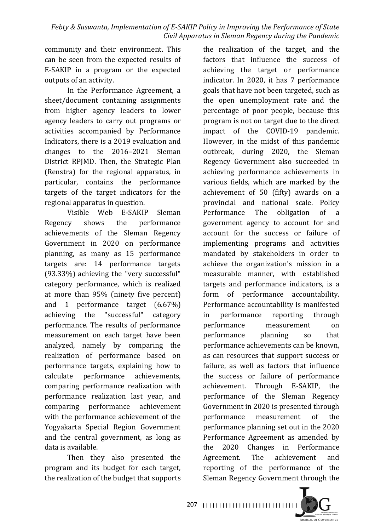community and their environment. This can be seen from the expected results of E-SAKIP in a program or the expected outputs of an activity.

In the Performance Agreement, a sheet/document containing assignments from higher agency leaders to lower agency leaders to carry out programs or activities accompanied by Performance Indicators, there is a 2019 evaluation and changes to the 2016–2021 Sleman District RPJMD. Then, the Strategic Plan (Renstra) for the regional apparatus, in particular, contains the performance targets of the target indicators for the regional apparatus in question.

Visible Web E-SAKIP Sleman Regency shows the performance achievements of the Sleman Regency Government in 2020 on performance planning, as many as 15 performance targets are: 14 performance targets  $(93.33\%)$  achieving the "very successful" category performance, which is realized at more than  $95\%$  (ninety five percent) and 1 performance target  $(6.67%)$ achieving the "successful" category performance. The results of performance measurement on each target have been analyzed, namely by comparing the realization of performance based on performance targets, explaining how to calculate performance achievements, comparing performance realization with performance realization last year, and comparing performance achievement with the performance achievement of the Yogyakarta Special Region Government and the central government, as long as data is available.

Then they also presented the program and its budget for each target, the realization of the budget that supports

the realization of the target, and the factors that influence the success of achieving the target or performance indicator. In 2020, it has 7 performance goals that have not been targeted, such as the open unemployment rate and the percentage of poor people, because this program is not on target due to the direct impact of the COVID-19 pandemic. However, in the midst of this pandemic outbreak, during 2020, the Sleman Regency Government also succeeded in achieving performance achievements in various fields, which are marked by the achievement of 50 (fifty) awards on a provincial and national scale. Policy Performance The obligation of a government agency to account for and account for the success or failure of implementing programs and activities mandated by stakeholders in order to achieve the organization's mission in a measurable manner, with established targets and performance indicators, is a form of performance accountability. Performance accountability is manifested in performance reporting through performance measurement on performance planning so that performance achievements can be known, as can resources that support success or failure, as well as factors that influence the success or failure of performance achievement. Through E-SAKIP, the performance of the Sleman Regency Government in 2020 is presented through performance measurement of the performance planning set out in the 2020 Performance Agreement as amended by the 2020 Changes in Performance Agreement. The achievement and reporting of the performance of the Sleman Regency Government through the



I I I I I I I I I I I I I I I I I I I I I I I I I I I I I 207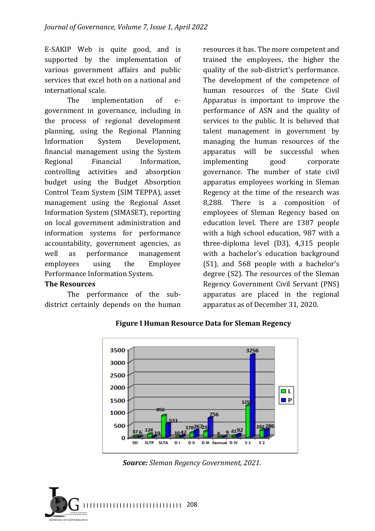E-SAKIP Web is quite good, and is supported by the implementation of various government affairs and public services that excel both on a national and international scale.

The implementation of egovernment in governance, including in the process of regional development planning, using the Regional Planning Information System Development, financial management using the System Regional Financial Information, controlling activities and absorption budget using the Budget Absorption Control Team System (SIM TEPPA), asset management using the Regional Asset Information System (SIMASET), reporting on local government administration and information systems for performance accountability, government agencies, as well as performance management employees using the Employee Performance Information System.

#### **The Resources**

The performance of the subdistrict certainly depends on the human

resources it has. The more competent and trained the employees, the higher the quality of the sub-district's performance. The development of the competence of human resources of the State Civil Apparatus is important to improve the performance of ASN and the quality of services to the public. It is believed that talent management in government by managing the human resources of the apparatus will be successful when implementing good corporate governance. The number of state civil apparatus employees working in Sleman Regency at the time of the research was 8,288. There is a composition of employees of Sleman Regency based on education level. There are 1387 people with a high school education, 987 with a three-diploma level (D3), 4,315 people with a bachelor's education background  $(S1)$ , and 568 people with a bachelor's degree (S2). The resources of the Sleman Regency Government Civil Servant (PNS) apparatus are placed in the regional apparatus as of December 31, 2020.



**Figure I Human Resource Data for Sleman Regency**

*Source: Sleman Regency Government, 2021.*

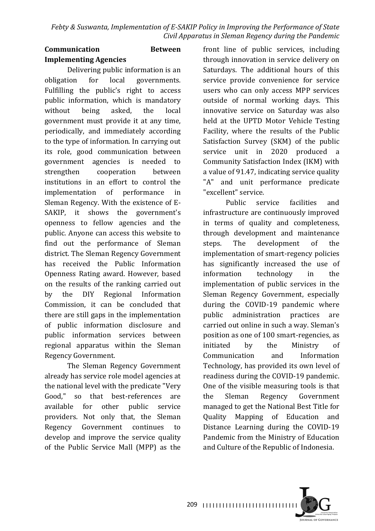## **Communication Between Implementing Agencies**

Delivering public information is an obligation for local governments. Fulfilling the public's right to access public information, which is mandatory without being asked, the local government must provide it at any time, periodically, and immediately according to the type of information. In carrying out its role, good communication between government agencies is needed to strengthen cooperation between institutions in an effort to control the implementation of performance in Sleman Regency. With the existence of E-SAKIP, it shows the government's openness to fellow agencies and the public. Anyone can access this website to find out the performance of Sleman district. The Sleman Regency Government has received the Public Information Openness Rating award. However, based on the results of the ranking carried out by the DIY Regional Information Commission, it can be concluded that there are still gaps in the implementation of public information disclosure and public information services between regional apparatus within the Sleman Regency Government.

The Sleman Regency Government already has service role model agencies at the national level with the predicate "Very Good," so that best-references are available for other public service providers. Not only that, the Sleman Regency Government continues to develop and improve the service quality of the Public Service Mall (MPP) as the

front line of public services, including through innovation in service delivery on Saturdays. The additional hours of this service provide convenience for service users who can only access MPP services outside of normal working days. This innovative service on Saturday was also held at the UPTD Motor Vehicle Testing Facility, where the results of the Public Satisfaction Survey (SKM) of the public service unit in 2020 produced a Community Satisfaction Index (IKM) with a value of 91.47, indicating service quality "A" and unit performance predicate "excellent" service.

Public service facilities and infrastructure are continuously improved in terms of quality and completeness, through development and maintenance steps. The development of the implementation of smart-regency policies has significantly increased the use of information technology in the implementation of public services in the Sleman Regency Government, especially during the COVID-19 pandemic where public administration practices are carried out online in such a way. Sleman's position as one of 100 smart-regencies, as initiated by the Ministry of Communication and Information Technology, has provided its own level of readiness during the COVID-19 pandemic. One of the visible measuring tools is that the Sleman Regency Government managed to get the National Best Title for Quality Mapping of Education and Distance Learning during the COVID-19 Pandemic from the Ministry of Education and Culture of the Republic of Indonesia.

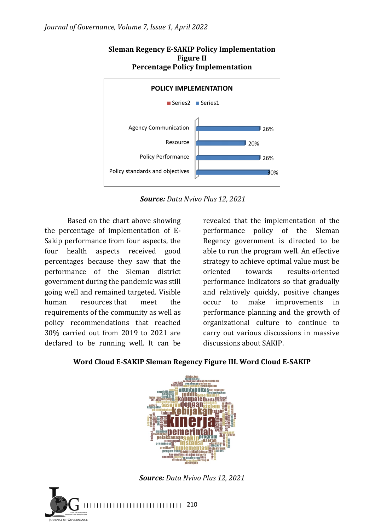

#### **Sleman Regency E-SAKIP Policy Implementation Figure II Percentage Policy Implementation**

*Source: Data Nvivo Plus 12, 2021* 

Based on the chart above showing the percentage of implementation of  $E$ -Sakip performance from four aspects, the four health aspects received good percentages because they saw that the performance of the Sleman district government during the pandemic was still going well and remained targeted. Visible human resources that meet the requirements of the community as well as policy recommendations that reached 30% carried out from 2019 to 2021 are declared to be running well. It can be

revealed that the implementation of the performance policy of the Sleman Regency government is directed to be able to run the program well. An effective strategy to achieve optimal value must be oriented towards results-oriented performance indicators so that gradually and relatively quickly, positive changes occur to make improvements in performance planning and the growth of organizational culture to continue to carry out various discussions in massive discussions about SAKIP.



## Word Cloud E-SAKIP Sleman Regency Figure III. Word Cloud E-SAKIP

*Source: Data Nvivo Plus 12, 2021*

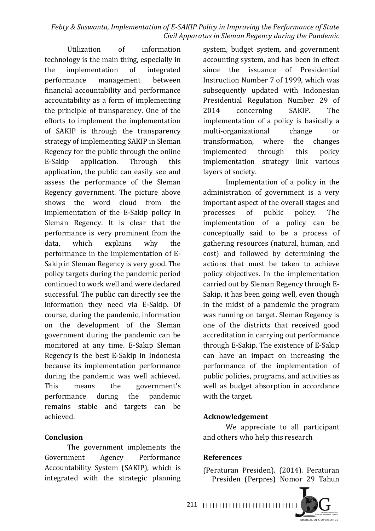Utilization of information technology is the main thing, especially in the implementation of integrated performance management between financial accountability and performance accountability as a form of implementing the principle of transparency. One of the efforts to implement the implementation of SAKIP is through the transparency strategy of implementing SAKIP in Sleman Regency for the public through the online E-Sakip application. Through this application, the public can easily see and assess the performance of the Sleman Regency government. The picture above shows the word cloud from the implementation of the E-Sakip policy in Sleman Regency. It is clear that the performance is very prominent from the data, which explains why the performance in the implementation of E-Sakip in Sleman Regency is very good. The policy targets during the pandemic period continued to work well and were declared successful. The public can directly see the information they need via E-Sakip. Of course, during the pandemic, information on the development of the Sleman government during the pandemic can be monitored at any time. E-Sakip Sleman Regency is the best E-Sakip in Indonesia because its implementation performance during the pandemic was well achieved. This means the government's performance during the pandemic remains stable and targets can be achieved.

### **Conclusion**

The government implements the Government Agency Performance Accountability System (SAKIP), which is integrated with the strategic planning

system, budget system, and government accounting system, and has been in effect since the issuance of Presidential Instruction Number 7 of 1999, which was subsequently updated with Indonesian Presidential Regulation Number 29 of 2014 concerning SAKIP. The implementation of a policy is basically a multi-organizational change or transformation, where the changes implemented through this policy implementation strategy link various layers of society.

Implementation of a policy in the administration of government is a very important aspect of the overall stages and processes of public policy. The implementation of a policy can be conceptually said to be a process of gathering resources (natural, human, and cost) and followed by determining the actions that must be taken to achieve policy objectives. In the implementation carried out by Sleman Regency through E-Sakip, it has been going well, even though in the midst of a pandemic the program was running on target. Sleman Regency is one of the districts that received good accreditation in carrying out performance through E-Sakip. The existence of E-Sakip can have an impact on increasing the performance of the implementation of public policies, programs, and activities as well as budget absorption in accordance with the target.

#### **Acknowledgement**

We appreciate to all participant and others who help this research

#### **References**

(Peraturan Presiden). (2014). Peraturan Presiden (Perpres) Nomor 29 Tahun

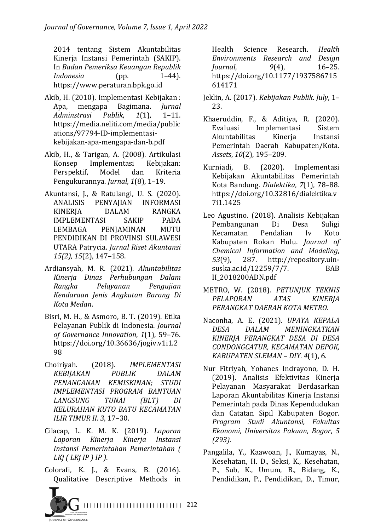2014 tentang Sistem Akuntabilitas Kinerja Instansi Pemerintah (SAKIP). In *Badan Pemeriksa Keuangan Republik Indonesia* (pp. 1–44). https://www.peraturan.bpk.go.id

- Akib, H. (2010). Implementasi Kebijakan: Apa, mengapa Bagimana. *Jurnal Adminstrasi Publik*, *1*(1), 1–11. https://media.neliti.com/media/public ations/97794-ID-implementasikebijakan-apa-mengapa-dan-b.pdf
- Akib, H., & Tarigan, A. (2008). Artikulasi Konsep Implementasi Kebijakan: Perspektif, Model dan Kriteria Pengukurannya. *Jurnal*, 1(8), 1-19.
- Akuntansi, J., & Ratulangi, U. S. (2020). ANALISIS PENYAJIAN INFORMASI KINERIA DALAM RANGKA IMPLEMENTASI SAKIP PADA LEMBAGA PENIAMINAN MUTU PENDIDIKAN DI PROVINSI SULAWESI UTARA Patrycia. *Jurnal Riset Akuntansi 15(2), 15(2),* 147–158.
- Ardiansyah, M. R. (2021). *Akuntabilitas Kinerja Dinas Perhubungan Dalam Rangka Pelayanan Pengujian Kendaraan Jenis Angkutan Barang Di Kota Medan*.
- Bisri, M. H., & Asmoro, B. T. (2019). Etika Pelayanan Publik di Indonesia. *Journal of Governance Innovation*, *1*(1), 59–76. https://doi.org/10.36636/jogiv.v1i1.2 98
- Choiriyah. (2018). *IMPLEMENTASI KEBIJAKAN PUBLIK DALAM PENANGANAN KEMISKINAN; STUDI IMPLEMENTASI PROGRAM BANTUAN LANGSUNG TUNAI (BLT) DI KELURAHAN KUTO BATU KECAMATAN ILIR TIMUR II. 3, 17-30.*
- Cilacap, L. K. M. K. (2019). *Laporan Laporan Kinerja Kinerja Instansi Instansi Pemerintahan Pemerintahan ( LKj* (*LKj IP* ) *IP* ).
- Colorafi, K. J., & Evans, B. (2016). Qualitative Descriptive Methods in



Health Science Research. *Health Environments Research and Design Journal*, *9*(4), 16–25. https://doi.org/10.1177/1937586715 614171

- Jeklin, A. (2017). *Kebijakan Publik. July*, 1-23.
- Khaeruddin, F., & Aditiya, R. (2020). Evaluasi Implementasi Sistem Akuntabilitas Kinerja Instansi Pemerintah Daerah Kabupaten/Kota. *Assets*,  $10(2)$ , 195-209.
- Kurniadi, B. (2020). Implementasi Kebijakan Akuntabilitas Pemerintah Kota Bandung. *Dialektika*, 7(1), 78-88. https://doi.org/10.32816/dialektika.v 7i1.1425
- Leo Agustino. (2018). Analisis Kebijakan Pembangunan Di Desa Suligi Kecamatan Pendalian Iv Koto Kabupaten Rokan Hulu. *Journal of Chemical Information and Modeling*, *53*(9), 287. http://repository.uinsuska.ac.id/12259/7/7. BAB II\_2018200ADN.pdf
- METRO, W. (2018). PETUNJUK TEKNIS *PELAPORAN ATAS KINERJA PERANGKAT DAERAH KOTA METRO*.
- Naconha, A. E. (2021). *UPAYA KEPALA DESA DALAM MENINGKATKAN KINERJA PERANGKAT DESA DI DESA CONDONGCATUR, KECAMATAN DEPOK, KABUPATEN SLEMAN – DIY*. *4*(1), 6.
- Nur Fitriyah, Yohanes Indrayono, D. H. (2019). Analisis Efektivitas Kinerja Pelayanan Masyarakat Berdasarkan Laporan Akuntabilitas Kinerja Instansi Pemerintah pada Dinas Kependudukan dan Catatan Sipil Kabupaten Bogor. *Program Studi Akuntansi, Fakultas Ekonomi, Universitas Pakuan, Bogor*, *5 (293)*.
- Pangalila, Y., Kaawoan, J., Kumayas, N., Kesehatan, H. D., Seksi, K., Kesehatan, P., Sub, K., Umum, B., Bidang, K., Pendidikan, P., Pendidikan, D., Timur,